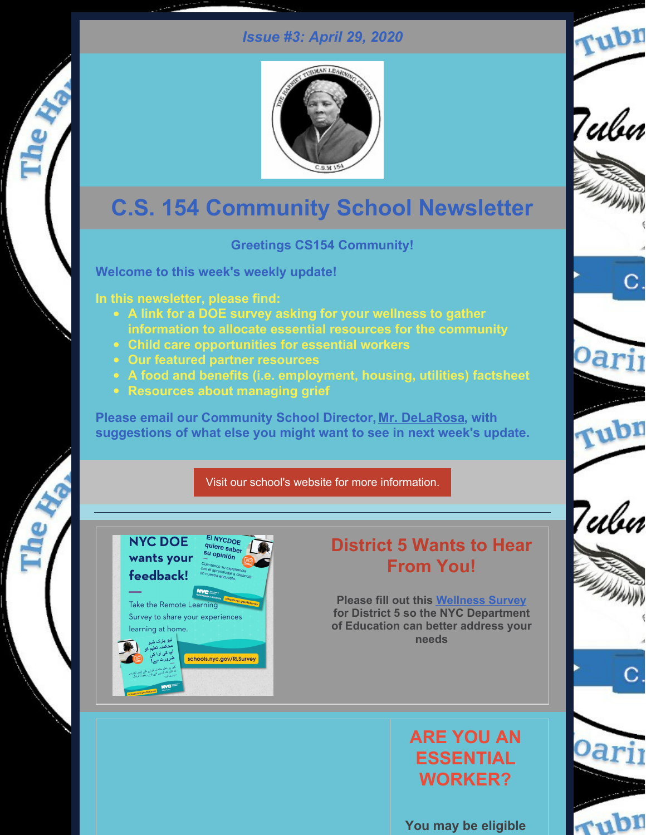# *Issue #3: April 29, 2020*



# **C.S. 154 Community School Newsletter**

### **Greetings CS154 Community!**

**Welcome to this week's weekly update!**

**In this newsletter, please find:**

- **A link for a DOE survey asking for your wellness to gather information to allocate essential resources for the community**
- **Child care opportunities for essential workers**
- **Our featured partner resources**
- **A food and benefits (i.e. employment, housing, utilities) factsheet**
- **Resources about managing grief**

**Please email our Community School Director, Mr. [DeLaRosa](mailto:ad3327@tc.columbia.edu), with suggestions of what else you might want to see in next week's update.**

### Visit our school's website for more [information.](https://www.ps154.com/)



The Re

# **District 5 Wants to Hear From You!**

Tubn

Tubn

С

Oari

rubn

Tulu

С.

**Please fill out this [Wellness](https://forms.office.com/Pages/ResponsePage.aspx?id=tyxJGEXvYUWFcQxC5fesB-MHah1yeGNBqb66-TlxzrxURUc1UlIxOVZOMzhNVENBRFdSUjVFNEVRTy4u) Survey for District 5 so the NYC Department of Education can better address your needs**

# **ARE YOU AN ESSENTIAL WORKER?**

**You may be eligible**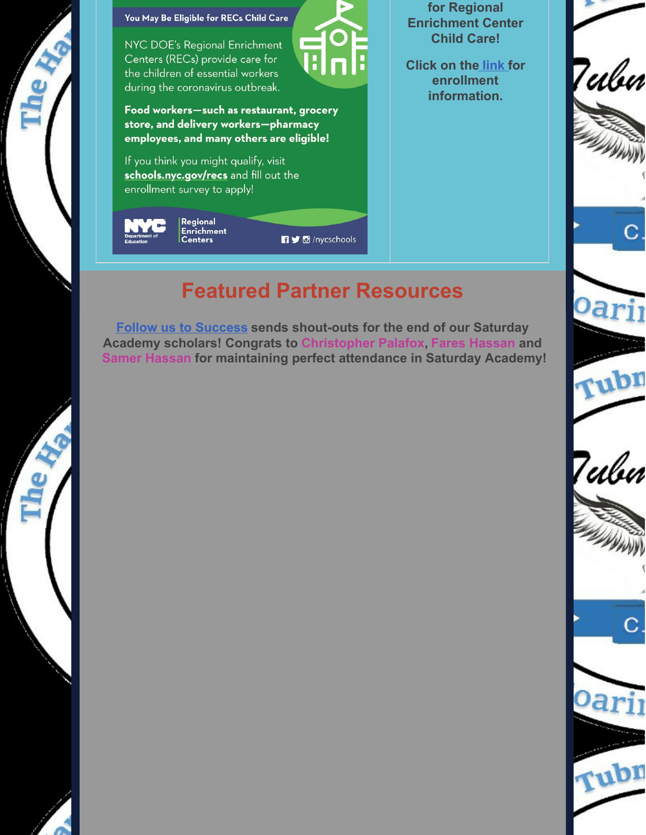

You May Be Eligible for RECs Child Care

NYC DOE's Regional Enrichment Centers (RECs) provide care for the children of essential workers during the coronavirus outbreak.

Food workers-such as restaurant, grocery store, and delivery workers-pharmacy employees, and many others are eligible!

If you think you might qualify, visit schools.nyc.gov/recs and fill out the enrollment survey to apply!

| $\blacksquare$<br><b>Department of</b><br><b>Education</b> | Regional<br>Enrichment<br>  Centers |  |
|------------------------------------------------------------|-------------------------------------|--|
|                                                            |                                     |  |

**for Regional Enrichment Center Child Care!**

**Click on the [link](https://www.schools.nyc.gov/enrollment/enrollment-help/regional-enrichment-centers) for enrollment information.**



# **Featured Partner Resources**

**D** /nycschools

**Follow us to [Success](http://www.followustosuccess.com) sends shout-outs for the end of our Saturday Academy scholars! Congrats to Christopher Palafox, Fares Hassan and Samer Hassan for maintaining perfect attendance in Saturday Academy!**



С





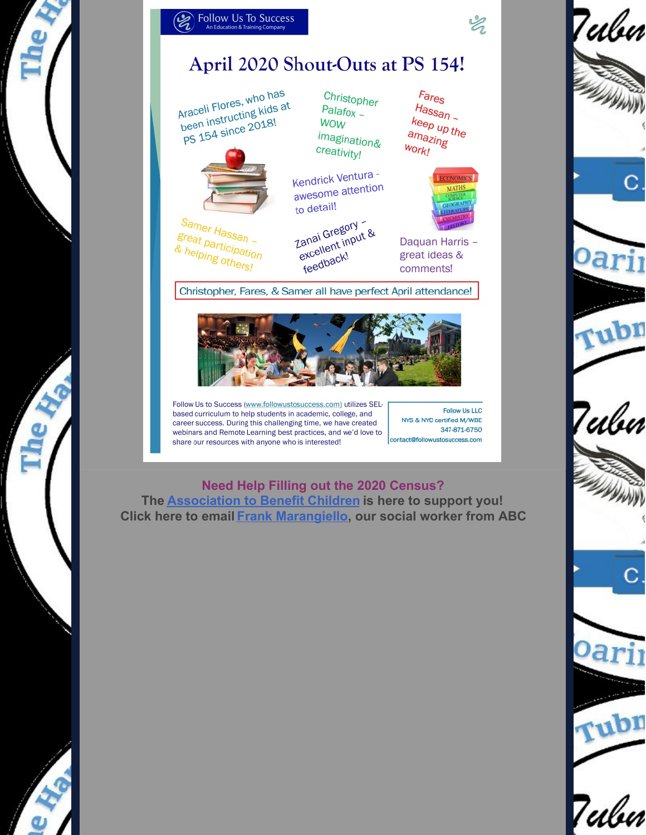



Araceli Flores, who has been instructing kids at PS 154 since 2018!



Samer Hassan great participation & helping others!

Christopher  $Palafox -$ **WOW** imagination& creativity!

Kendrick Ventura awesome attention to detail!

Zanai Gregory excellent input & feedback!

 $F<sub>ares</sub>$  $H$ assan keep up the amazing **Work!** 



Daquan Harris great ideas & comments!

Christopher, Fares, & Samer all have perfect April attendance!



Follow Us to Success (www.followustosuccess.com) utilizes SELbased curriculum to help students in academic, college, and career success. During this challenging time, we have created webinars and Remote Learning best practices, and we'd love to share our resources with anyone who is interested!

**Follow Us LLC** NYS & NYC certified M/WBE 347-871-6750 contact@followustosuccess.com

## **Need Help Filling out the 2020 Census?**

The Association to Benefit Children is here to support you! Click here to email Frank Marangiello, our social worker from ABC



 $\mathscr{C}$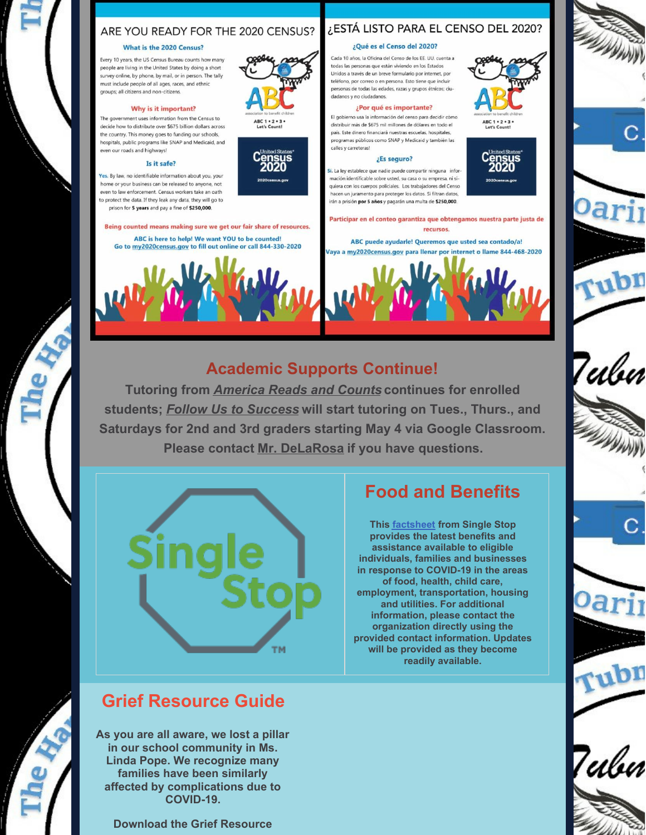### ARE YOU READY FOR THE 2020 CENSUS?

#### What is the 2020 Census?

Every 10 years, the US Census Bureau counts how many people are living in the United States by doing a short survey online, by phone, by mail, or in person. The tally must include people of all ages, races, and ethnic groups: all citizens and non-citizens.

#### Why is it important?

The government uses information from the Census to decide how to distribute over \$675 billion dollars across the country. This money goes to funding our schools, hospitals, public programs like SNAP and Medicaid, and even our roads and highways!

#### Is it safe?

Yes. By law, no identifiable information about you, your home or your business can be released to anyone, not even to law enforcement. Census workers take an oath to protect the data. If they leak any data, they will go to prison for 5 years and pay a fine of \$250,000

Being counted means making sure we get our fair share of resources. ABC is here to help! We want YOU to be counted! Go to my2020census.gov to fill out online or call 844-330-2020



# ¿ESTÁ LISTO PARA EL CENSO DEL 2020?

#### ¿Qué es el Censo del 2020?

Cada 10 años, la Oficina del Censo de los EE UU, cuenta a todas las personas que están viviendo en los Estados Unidos a través de un breve formulario por internet, por teléfono, por correo o en persona. Esto tiene que incluir personas de todas las edades, razas y grupos étnicos; ciudadanos y no ciudadanos.

#### ¿Por qué es importante?

El gobierno usa la información del censo para decidir cómo distribuir más de \$675 mil millones de dólares en todo el país. Este dinero financiará nuestras escuelas, hospitales. .<br>programas públicos como SNAP y Medicaid y también las calles y carreteras!

#### ¿Es seguro?

Si. La ley establece que nadie puede compartir ninguna información identificable sobre usted, su casa o su empresa, ni siquiera con los cuerpos policiales. Los trabajadores del Censo hacen un juramento para proteger los datos. Si filtran datos. irán a prisión por 5 años y pagarán una multa de \$250,000

Participar en el conteo garantiza que obtengamos nuestra parte justa de recursos.

ABC puede ayudarle! Queremos que usted sea contado/a! Vaya a my2020census.gov para llenar por internet o llame 844-468-2020



### **Academic Supports Continue!**

**Tutoring from** *[America](https://communityimpact.columbia.edu/our-programs/america-reads) Reads and Counts* **continues for enrolled students;** *Follow Us to [Success](http://followustosuccess.com/)* **will start tutoring on Tues., Thurs., and Saturdays for 2nd and 3rd graders starting May 4 via Google Classroom. Please contact Mr. [DeLaRosa](mailto:ad3327@tc.columbia.edu) if you have questions.**



## **Food and Benefits**

**This [factsheet](https://singlestop.org/wp-content/uploads/2020/04/NYC-Fact-Sheet-1.pdf) from Single Stop provides the latest benefits and assistance available to eligible individuals, families and businesses in response to COVID-19 in the areas of food, health, child care, employment, transportation, housing and utilities. For additional information, please contact the organization directly using the provided contact information. Updates will be provided as they become readily available.**













Teilui

# **Grief Resource Guide**

**As you are all aware, we lost a pillar in our school community in Ms. Linda Pope. We recognize many families have been similarly affected by complications due to COVID-19.**

**Download the Grief Resource**